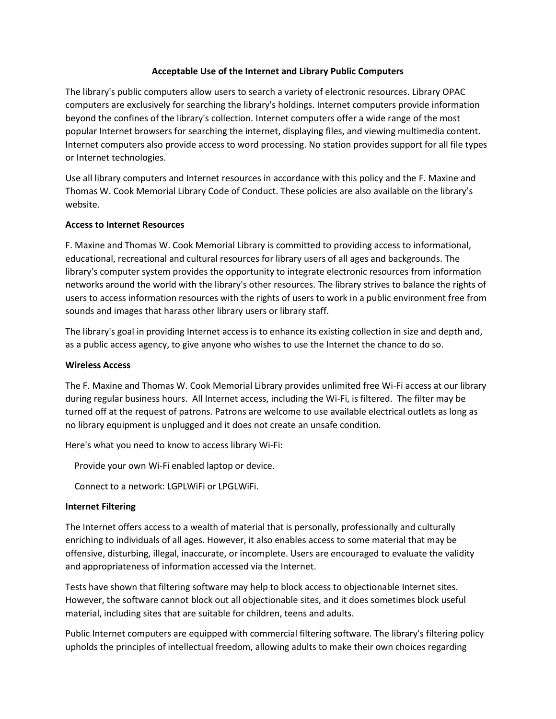### **Acceptable Use of the Internet and Library Public Computers**

The library's public computers allow users to search a variety of electronic resources. Library OPAC computers are exclusively for searching the library's holdings. Internet computers provide information beyond the confines of the library's collection. Internet computers offer a wide range of the most popular Internet browsers for searching the internet, displaying files, and viewing multimedia content. Internet computers also provide access to word processing. No station provides support for all file types or Internet technologies.

Use all library computers and Internet resources in accordance with this policy and the F. Maxine and Thomas W. Cook Memorial Library Code of Conduct. These policies are also available on the library's website.

## **Access to Internet Resources**

F. Maxine and Thomas W. Cook Memorial Library is committed to providing access to informational, educational, recreational and cultural resources for library users of all ages and backgrounds. The library's computer system provides the opportunity to integrate electronic resources from information networks around the world with the library's other resources. The library strives to balance the rights of users to access information resources with the rights of users to work in a public environment free from sounds and images that harass other library users or library staff.

The library's goal in providing Internet access is to enhance its existing collection in size and depth and, as a public access agency, to give anyone who wishes to use the Internet the chance to do so.

### **Wireless Access**

The F. Maxine and Thomas W. Cook Memorial Library provides unlimited free Wi-Fi access at our library during regular business hours. All Internet access, including the Wi-Fi, is filtered. The filter may be turned off at the request of patrons. Patrons are welcome to use available electrical outlets as long as no library equipment is unplugged and it does not create an unsafe condition.

Here's what you need to know to access library Wi-Fi:

Provide your own Wi-Fi enabled laptop or device.

Connect to a network: LGPLWiFi or LPGLWiFi.

### **Internet Filtering**

The Internet offers access to a wealth of material that is personally, professionally and culturally enriching to individuals of all ages. However, it also enables access to some material that may be offensive, disturbing, illegal, inaccurate, or incomplete. Users are encouraged to evaluate the validity and appropriateness of information accessed via the Internet.

Tests have shown that filtering software may help to block access to objectionable Internet sites. However, the software cannot block out all objectionable sites, and it does sometimes block useful material, including sites that are suitable for children, teens and adults.

Public Internet computers are equipped with commercial filtering software. The library's filtering policy upholds the principles of intellectual freedom, allowing adults to make their own choices regarding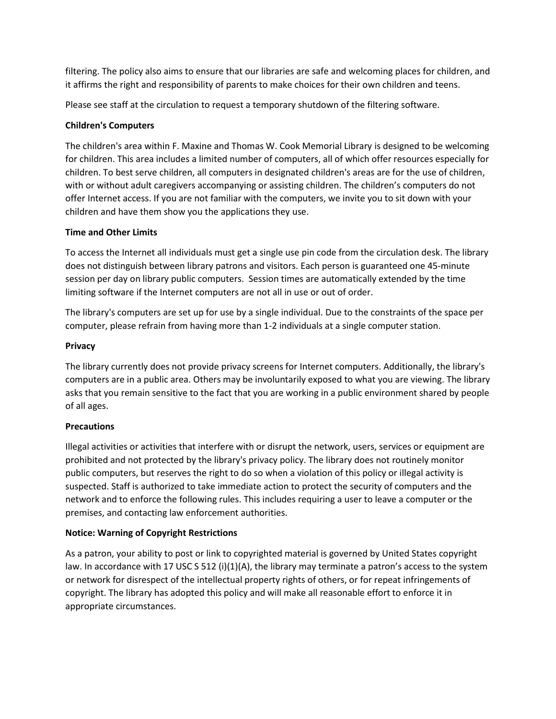filtering. The policy also aims to ensure that our libraries are safe and welcoming places for children, and it affirms the right and responsibility of parents to make choices for their own children and teens.

Please see staff at the circulation to request a temporary shutdown of the filtering software.

## **Children's Computers**

The children's area within F. Maxine and Thomas W. Cook Memorial Library is designed to be welcoming for children. This area includes a limited number of computers, all of which offer resources especially for children. To best serve children, all computers in designated children's areas are for the use of children, with or without adult caregivers accompanying or assisting children. The children's computers do not offer Internet access. If you are not familiar with the computers, we invite you to sit down with your children and have them show you the applications they use.

## **Time and Other Limits**

To access the Internet all individuals must get a single use pin code from the circulation desk. The library does not distinguish between library patrons and visitors. Each person is guaranteed one 45-minute session per day on library public computers. Session times are automatically extended by the time limiting software if the Internet computers are not all in use or out of order.

The library's computers are set up for use by a single individual. Due to the constraints of the space per computer, please refrain from having more than 1-2 individuals at a single computer station.

## **Privacy**

The library currently does not provide privacy screens for Internet computers. Additionally, the library's computers are in a public area. Others may be involuntarily exposed to what you are viewing. The library asks that you remain sensitive to the fact that you are working in a public environment shared by people of all ages.

### **Precautions**

Illegal activities or activities that interfere with or disrupt the network, users, services or equipment are prohibited and not protected by the library's privacy policy. The library does not routinely monitor public computers, but reserves the right to do so when a violation of this policy or illegal activity is suspected. Staff is authorized to take immediate action to protect the security of computers and the network and to enforce the following rules. This includes requiring a user to leave a computer or the premises, and contacting law enforcement authorities.

# **Notice: Warning of Copyright Restrictions**

As a patron, your ability to post or link to copyrighted material is governed by United States copyright law. In accordance with 17 USC S 512 (i)(1)(A), the library may terminate a patron's access to the system or network for disrespect of the intellectual property rights of others, or for repeat infringements of copyright. The library has adopted this policy and will make all reasonable effort to enforce it in appropriate circumstances.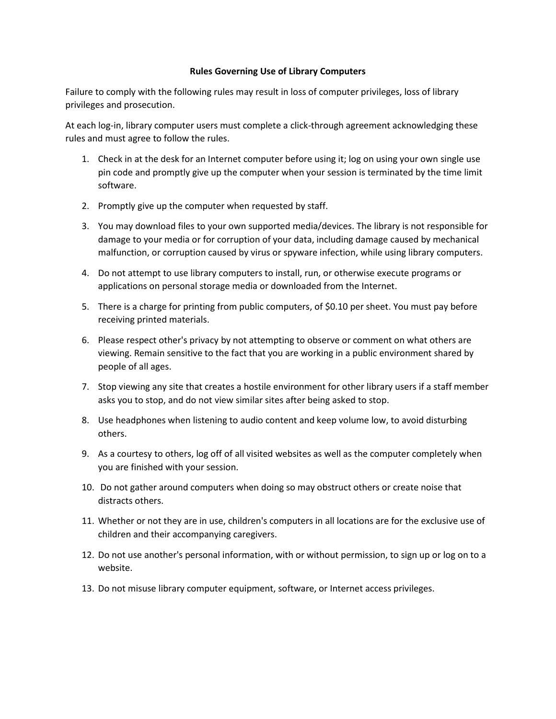#### **Rules Governing Use of Library Computers**

Failure to comply with the following rules may result in loss of computer privileges, loss of library privileges and prosecution.

At each log-in, library computer users must complete a click-through agreement acknowledging these rules and must agree to follow the rules.

- 1. Check in at the desk for an Internet computer before using it; log on using your own single use pin code and promptly give up the computer when your session is terminated by the time limit software.
- 2. Promptly give up the computer when requested by staff.
- 3. You may download files to your own supported media/devices. The library is not responsible for damage to your media or for corruption of your data, including damage caused by mechanical malfunction, or corruption caused by virus or spyware infection, while using library computers.
- 4. Do not attempt to use library computers to install, run, or otherwise execute programs or applications on personal storage media or downloaded from the Internet.
- 5. There is a charge for printing from public computers, of \$0.10 per sheet. You must pay before receiving printed materials.
- 6. Please respect other's privacy by not attempting to observe or comment on what others are viewing. Remain sensitive to the fact that you are working in a public environment shared by people of all ages.
- 7. Stop viewing any site that creates a hostile environment for other library users if a staff member asks you to stop, and do not view similar sites after being asked to stop.
- 8. Use headphones when listening to audio content and keep volume low, to avoid disturbing others.
- 9. As a courtesy to others, log off of all visited websites as well as the computer completely when you are finished with your session.
- 10. Do not gather around computers when doing so may obstruct others or create noise that distracts others.
- 11. Whether or not they are in use, children's computers in all locations are for the exclusive use of children and their accompanying caregivers.
- 12. Do not use another's personal information, with or without permission, to sign up or log on to a website.
- 13. Do not misuse library computer equipment, software, or Internet access privileges.